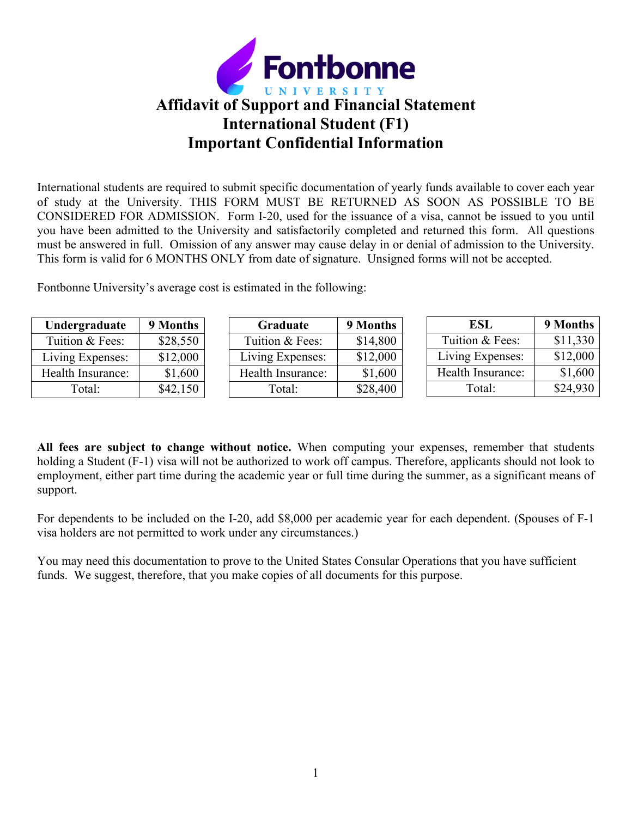

International students are required to submit specific documentation of yearly funds available to cover each year of study at the University. THIS FORM MUST BE RETURNED AS SOON AS POSSIBLE TO BE CONSIDERED FOR ADMISSION. Form I-20, used for the issuance of a visa, cannot be issued to you until you have been admitted to the University and satisfactorily completed and returned this form. All questions must be answered in full. Omission of any answer may cause delay in or denial of admission to the University. This form is valid for 6 MONTHS ONLY from date of signature. Unsigned forms will not be accepted.

Fontbonne University's average cost is estimated in the following:

| Undergraduate     | 9 Months | Graduate          | 9 Months | <b>ESL</b>        | 9 Months |
|-------------------|----------|-------------------|----------|-------------------|----------|
| Tuition & Fees:   | \$28,550 | Tuition & Fees:   | \$14,800 | Tuition & Fees:   | \$11,330 |
| Living Expenses:  | \$12,000 | Living Expenses:  | \$12,000 | Living Expenses:  | \$12,000 |
| Health Insurance: | \$1,600  | Health Insurance: | \$1,600  | Health Insurance: | \$1,600  |
| Total:            | \$42,150 | Total:            | \$28,400 | Total:            | \$24,930 |

**All fees are subject to change without notice.** When computing your expenses, remember that students holding a Student (F-1) visa will not be authorized to work off campus. Therefore, applicants should not look to employment, either part time during the academic year or full time during the summer, as a significant means of support.

For dependents to be included on the I-20, add \$8,000 per academic year for each dependent. (Spouses of F-1 visa holders are not permitted to work under any circumstances.)

You may need this documentation to prove to the United States Consular Operations that you have sufficient funds. We suggest, therefore, that you make copies of all documents for this purpose.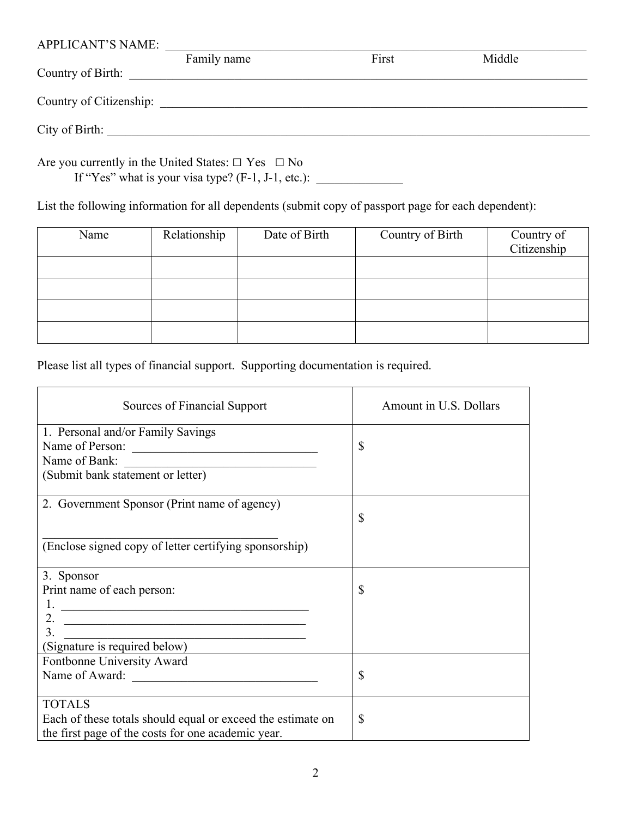| <b>APPLICANT'S NAME:</b> |             |       |        |  |
|--------------------------|-------------|-------|--------|--|
|                          | Family name | First | Middle |  |
| Country of Birth:        |             |       |        |  |
|                          |             |       |        |  |
| Country of Citizenship:  |             |       |        |  |
|                          |             |       |        |  |
| City of Birth:           |             |       |        |  |
|                          |             |       |        |  |

Are you currently in the United States:  $\Box$  Yes  $\Box$  No

If "Yes" what is your visa type? (F-1, J-1, etc.): \_\_\_\_\_\_\_\_\_\_\_\_\_\_

List the following information for all dependents (submit copy of passport page for each dependent):

| Name | Relationship | Date of Birth | Country of Birth | Country of<br>Citizenship |
|------|--------------|---------------|------------------|---------------------------|
|      |              |               |                  |                           |
|      |              |               |                  |                           |
|      |              |               |                  |                           |
|      |              |               |                  |                           |

Please list all types of financial support. Supporting documentation is required.

| Sources of Financial Support                                                                                               | Amount in U.S. Dollars |
|----------------------------------------------------------------------------------------------------------------------------|------------------------|
| 1. Personal and/or Family Savings                                                                                          |                        |
| Name of Person:                                                                                                            | \$                     |
| Name of Bank:                                                                                                              |                        |
| (Submit bank statement or letter)                                                                                          |                        |
| 2. Government Sponsor (Print name of agency)                                                                               |                        |
|                                                                                                                            | \$                     |
| (Enclose signed copy of letter certifying sponsorship)                                                                     |                        |
| 3. Sponsor                                                                                                                 |                        |
| Print name of each person:                                                                                                 | \$                     |
| 1.<br><u> Alexandria de la contrada de la contrada de la contrada de la contrada de la contrada de la contrada de la c</u> |                        |
| 2.                                                                                                                         |                        |
| 3.                                                                                                                         |                        |
| (Signature is required below)                                                                                              |                        |
| Fontbonne University Award                                                                                                 |                        |
| Name of Award:                                                                                                             | \$                     |
|                                                                                                                            |                        |
| <b>TOTALS</b>                                                                                                              |                        |
| Each of these totals should equal or exceed the estimate on                                                                | $\mathbb{S}$           |
| the first page of the costs for one academic year.                                                                         |                        |